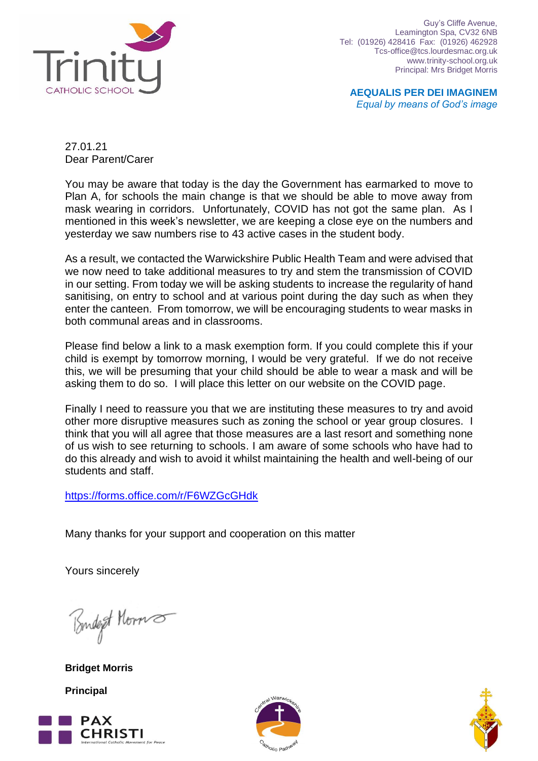

Guy's Cliffe Avenue, Leamington Spa, CV32 6NB Tel: (01926) 428416 Fax: (01926) 462928 Tcs-office@tcs.lourdesmac.org.uk www.trinity-school.org.uk Principal: Mrs Bridget Morris

**AEQUALIS PER DEI IMAGINEM** *Equal by means of God's image*

27.01.21 Dear Parent/Carer

You may be aware that today is the day the Government has earmarked to move to Plan A, for schools the main change is that we should be able to move away from mask wearing in corridors. Unfortunately, COVID has not got the same plan. As I mentioned in this week's newsletter, we are keeping a close eye on the numbers and yesterday we saw numbers rise to 43 active cases in the student body.

As a result, we contacted the Warwickshire Public Health Team and were advised that we now need to take additional measures to try and stem the transmission of COVID in our setting. From today we will be asking students to increase the regularity of hand sanitising, on entry to school and at various point during the day such as when they enter the canteen. From tomorrow, we will be encouraging students to wear masks in both communal areas and in classrooms.

Please find below a link to a mask exemption form. If you could complete this if your child is exempt by tomorrow morning, I would be very grateful. If we do not receive this, we will be presuming that your child should be able to wear a mask and will be asking them to do so. I will place this letter on our website on the COVID page.

Finally I need to reassure you that we are instituting these measures to try and avoid other more disruptive measures such as zoning the school or year group closures. I think that you will all agree that those measures are a last resort and something none of us wish to see returning to schools. I am aware of some schools who have had to do this already and wish to avoid it whilst maintaining the health and well-being of our students and staff.

<https://forms.office.com/r/F6WZGcGHdk>

Many thanks for your support and cooperation on this matter

Yours sincerely

Budget Horns

**Bridget Morris Principal**